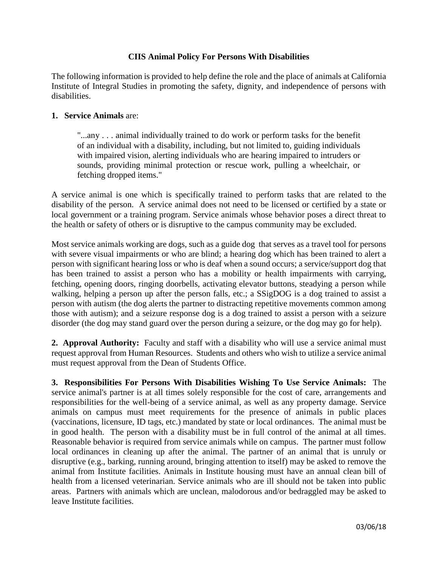## **CIIS Animal Policy For Persons With Disabilities**

The following information is provided to help define the role and the place of animals at California Institute of Integral Studies in promoting the safety, dignity, and independence of persons with disabilities.

## **1. Service Animals** are:

"...any . . . animal individually trained to do work or perform tasks for the benefit of an individual with a disability, including, but not limited to, guiding individuals with impaired vision, alerting individuals who are hearing impaired to intruders or sounds, providing minimal protection or rescue work, pulling a wheelchair, or fetching dropped items."

A service animal is one which is specifically trained to perform tasks that are related to the disability of the person. A service animal does not need to be licensed or certified by a state or local government or a training program. Service animals whose behavior poses a direct threat to the health or safety of others or is disruptive to the campus community may be excluded.

Most service animals working are dogs, such as a guide dog that serves as a travel tool for persons with severe visual impairments or who are blind; a hearing dog which has been trained to alert a person with significant hearing loss or who is deaf when a sound occurs; a service/support dog that has been trained to assist a person who has a mobility or health impairments with carrying, fetching, opening doors, ringing doorbells, activating elevator buttons, steadying a person while walking, helping a person up after the person falls, etc.; a SSigDOG is a dog trained to assist a person with autism (the dog alerts the partner to distracting repetitive movements common among those with autism); and a seizure response dog is a dog trained to assist a person with a seizure disorder (the dog may stand guard over the person during a seizure, or the dog may go for help).

**2. Approval Authority:** Faculty and staff with a disability who will use a service animal must request approval from Human Resources.Students and others who wish to utilize a service animal must request approval from the Dean of Students Office.

**3. Responsibilities For Persons With Disabilities Wishing To Use Service Animals:** The service animal's partner is at all times solely responsible for the cost of care, arrangements and responsibilities for the well-being of a service animal, as well as any property damage. Service animals on campus must meet requirements for the presence of animals in public places (vaccinations, licensure, ID tags, etc.) mandated by state or local ordinances. The animal must be in good health. The person with a disability must be in full control of the animal at all times. Reasonable behavior is required from service animals while on campus. The partner must follow local ordinances in cleaning up after the animal. The partner of an animal that is unruly or disruptive (e.g., barking, running around, bringing attention to itself) may be asked to remove the animal from Institute facilities. Animals in Institute housing must have an annual clean bill of health from a licensed veterinarian. Service animals who are ill should not be taken into public areas. Partners with animals which are unclean, malodorous and/or bedraggled may be asked to leave Institute facilities.